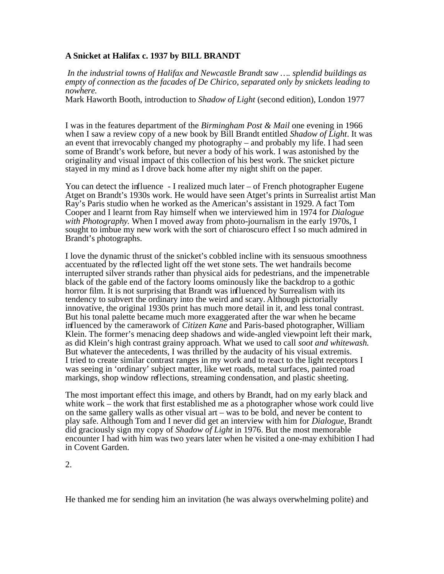## **A Snicket at Halifax c. 1937 by BILL BRANDT**

 *In the industrial towns of Halifax and Newcastle Brandt saw …. splendid buildings as empty of connection as the facades of De Chirico, separated only by snickets leading to nowhere.*

Mark Haworth Booth, introduction to *Shadow of Light* (second edition), London 1977

I was in the features department of the *Birmingham Post & Mail* one evening in 1966 when I saw a review copy of a new book by Bill Brandt entitled *Shadow of Light*. It was an event that irrevocably changed my photography – and probably my life. I had seen some of Brandt's work before, but never a body of his work. I was astonished by the originality and visual impact of this collection of his best work. The snicket picture stayed in my mind as I drove back home after my night shift on the paper.

You can detect the influence - I realized much later – of French photographer Eugene Atget on Brandt's 1930s work. He would have seen Atget's prints in Surrealist artist Man Ray's Paris studio when he worked as the American's assistant in 1929. A fact Tom Cooper and I learnt from Ray himself when we interviewed him in 1974 for *Dialogue with Photography.* When I moved away from photo-journalism in the early 1970s, I sought to imbue my new work with the sort of chiaroscuro effect I so much admired in Brandt's photographs.

I love the dynamic thrust of the snicket's cobbled incline with its sensuous smoothness accentuated by the reflected light off the wet stone sets. The wet handrails become interrupted silver strands rather than physical aids for pedestrians, and the impenetrable black of the gable end of the factory looms ominously like the backdrop to a gothic horror film. It is not surprising that Brandt was influenced by Surrealism with its tendency to subvert the ordinary into the weird and scary. Although pictorially innovative, the original 1930s print has much more detail in it, and less tonal contrast. But his tonal palette became much more exaggerated after the war when he became influenced by the camerawork of *Citizen Kane* and Paris-based photographer, William Klein. The former's menacing deep shadows and wide-angled viewpoint left their mark, as did Klein's high contrast grainy approach. What we used to call *soot and whitewash.* But whatever the antecedents, I was thrilled by the audacity of his visual extremis. I tried to create similar contrast ranges in my work and to react to the light receptors I was seeing in 'ordinary' subject matter, like wet roads, metal surfaces, painted road markings, shop window reflections, streaming condensation, and plastic sheeting.

The most important effect this image, and others by Brandt, had on my early black and white work – the work that first established me as a photographer whose work could live on the same gallery walls as other visual art – was to be bold, and never be content to play safe. Although Tom and I never did get an interview with him for *Dialogue,* Brandt did graciously sign my copy of *Shadow of Light* in 1976. But the most memorable encounter I had with him was two years later when he visited a one-may exhibition I had in Covent Garden.

2.

He thanked me for sending him an invitation (he was always overwhelming polite) and